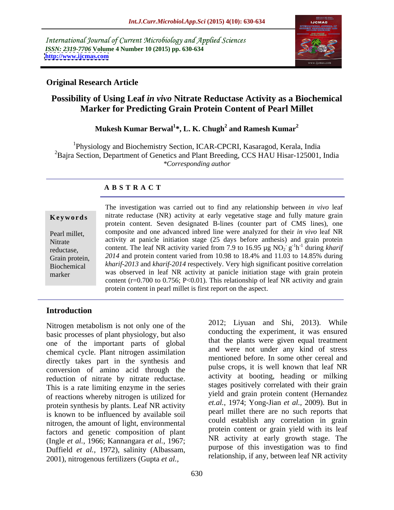International Journal of Current Microbiology and Applied Sciences *ISSN: 2319-7706* **Volume 4 Number 10 (2015) pp. 630-634 <http://www.ijcmas.com>**



# **Original Research Article**

# **Possibility of Using Leaf** *in vivo* **Nitrate Reductase Activity as a Biochemical Marker for Predicting Grain Protein Content of Pearl Millet**

#### **Mukesh Kumar Berwal<sup>1</sup> \*, L. K. Chugh<sup>2</sup> and Ramesh Kumar<sup>2</sup>**

<sup>1</sup>Physiology and Biochemistry Section, ICAR-CPCRI, Kasaragod, Kerala, India <sup>2</sup>Bajra Section, Department of Genetics and Plant Breeding, CCS HAU Hisar-125001, India *\*Corresponding author*

# **A B S T R A C T**

marker

The investigation was carried out to find any relationship between *in vivo* leaf **Keywords** nitrate reductase (NR) activity at early vegetative stage and fully mature grain protein content. Seven designated B-lines (counter part of CMS lines), one composite and one advanced inbred line were analyzed for their *in vivo* leaf NR Pearl millet, Nitrate activity at panicle initiation stage (25 days before anthesis) and grain protein reductase, content. The leaf NR activity varied from 7.9 to 16.95  $\mu$ g NO<sub>2</sub> g<sup>-1</sup>h<sup>-1</sup> during *kharif*  $\log^{-1} h^{-1}$  during *kharif*  $^{-1}h^{-1}$  during kharif  $h^{-1}$  during *kharif*  $^{-1}$  during kharif during *kharif*  Grain protein,  $2014$  and protein content varied from 10.98 to 18.4% and 11.03 to 14.85% during *kharif-2013* and *kharif-2014* respectively. Very high significant positive correlation Biochemical was observed in leaf NR activity at panicle initiation stage with grain protein content ( $r=0.700$  to 0.756; P<0.01). This relationship of leaf NR activity and grain protein content in pearl millet is first report on the aspect.

# **Introduction**

Nitrogen metabolism is not only one of the basic processes of plant physiology, but also one of the important parts of global chemical cycle. Plant nitrogen assimilation directly takes part in the synthesis and conversion of amino acid through the reduction of nitrate by nitrate reductase. This is a rate limiting enzyme in the series of reactions whereby nitrogen is utilized for protein synthesis by plants. Leaf NR activity is known to be influenced by available soil nitrogen, the amount of light, environmental factors and genetic composition of plant (Ingle *et al.,* 1966; Kannangara *et al.,* 1967; Duffield *et al.,* 1972), salinity (Albassam, 2001), nitrogenous fertilizers (Gupta *et al.,*

2012; Liyuan and Shi, 2013). While conducting the experiment, it was ensured that the plants were given equal treatment and were not under any kind of stress mentioned before. In some other cereal and pulse crops, it is well known that leaf NR activity at booting, heading or milking stages positively correlated with their grain yield and grain protein content (Hernandez *et.al.*, 1974; Yong-Jian *et al.,* 2009). But in pearl millet there are no such reports that could establish any correlation in grain protein content or grain yield with its leaf NR activity at early growth stage. The purpose of this investigation was to find relationship, if any, between leaf NR activity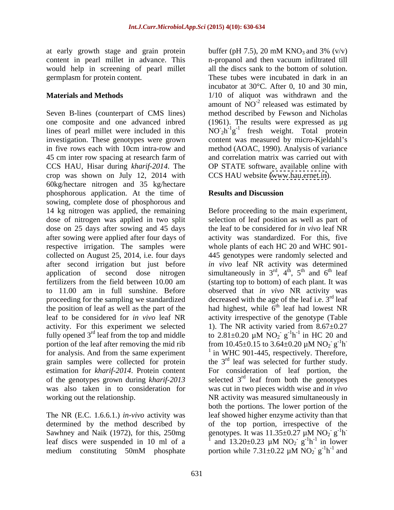at early growth stage and grain protein buffer (pH 7.5), 20 mM  $\text{KNO}_3$  and 3% (v/v) would help in screening of pearl millet all the discs sank to the bottom of solution.

Seven B-lines (counterpart of CMS lines) method described by Fewson and Nicholas one composite and one advanced inbred (1961). The results were expressed as µg lines of pearl millet were included in this  $NO_2h^{-1}g^{-1}$  fresh weight. Total protein investigation. These genotypes were grown content was measured by micro-Kjeldahl's in five rows each with 10cm intra-row and method (AOAC, 1990). Analysis of variance 45 cm inter row spacing at research farm of and correlation matrix was carried out with CCS HAU, Hisar during *kharif-2014*. The crop was shown on July 12, 2014 with 60kg/hectare nitrogen and 35 kg/hectare phosphorous application. At the time of **Results and Discussion** sowing, complete dose of phosphorous and 14 kg nitrogen was applied, the remaining Before proceeding to the main experiment, dose of nitrogen was applied in two split selection of leaf position as well as part of dose on 25 days after sowing and 45 days after sowing were applied after four days of activity was standardized. For this, five respective irrigation. The samples were whole plants of each HC 20 and WHC 901 collected on August 25, 2014, i.e. four days 445 genotypes were randomly selected and after second irrigation but just before application of second dose nitrogen simultaneously in  $3<sup>rd</sup>$ ,  $4<sup>th</sup>$ ,  $5<sup>th</sup>$  and  $6<sup>th</sup>$  leaf fertilizers from the field between 10.00 am (starting top to bottom) of each plant. It was to 11.00 am in full sunshine. Before observed that *in vivo* NR activity was proceeding for the sampling we standardized decreased with the age of the leaf i.e.  $3^{rd}$  leaf the position of leaf as well as the part of the had highest, while  $6<sup>th</sup>$  leaf had lowest NR leaf to be considered for *in vivo* leaf NR activity irrespective of the genotype (Table activity. For this experiment we selected 1). The NR activity varied from  $8.67 \pm 0.27$ fully opened 3<sup>rd</sup> leaf from the top and middle to 2.81±0.20  $\mu$ M NO<sub>2</sub> g<sup>-1</sup>h<sup>-1</sup> in HC 20 and portion of the leaf after removing the mid rib  $\sim$  from 10.45 $\pm$ 0.15 to 3.64 $\pm$ 0.20  $\mu$ M NO<sub>2</sub> g<sup>-1</sup>h for analysis. And from the same experiment <sup>1</sup> in WHC 901-445, respectively. Therefore, grain samples were collected for protein the  $3<sup>rd</sup>$  leaf was selected for further study. estimation for *kharif-2014*. Protein content For consideration of leaf portion, the of the genotypes grown during *kharif-2013*  selected 3 was also taken in to consideration for was cut in two pieces width wise and *in vivo* working out the relationship. NR activity was measured simultaneously in

medium constituting 50mM phosphate portion while  $7.31 \pm 0.22 \mu M NO_2$  g<sup>-1</sup>h<sup>-1</sup> and

content in pearl millet in advance. This n-propanol and then vacuum infiltrated till germplasm for protein content. These tubes were incubated in dark in an **Materials and Methods** 1/10 of aliquot was withdrawn and the buffer (pH 7.5), 20 mM  $KNO_3$  and 3% (v/v) all the discs sank to the bottom of solution. incubator at 30°C. After 0, 10 and 30 min, amount of  $\overline{NO}^{-2}$  released was estimated by released was estimated by and correlation matrix was carried out with OP STATE software, available online with CCS HAU website [\(www.hau.ernet.in](http://www.hau.ernet.in)).

### **Results and Discussion**

The NR (E.C. 1.6.6.1.) *in-vivo* activity was leaf showed higher enzyme activity than that determined by the method described by of the top portion, irrespective of the Sawhney and Naik (1972), for this, 250mg senotypes. It was  $11.35\pm0.27 \mu M NO_2$  g<sup>-1</sup>h leaf discs were suspended in 10 ml of a  $\frac{1}{4}$  and 13.20 $\pm$ 0.23  $\mu$ M NO<sub>2</sub> g<sup>-1</sup>h<sup>-1</sup> in lower the leaf to be considered for *in vivo* leaf NR *in vivo* leaf NR activity was determined ,  $4^{\text{th}}$ ,  $5^{\text{th}}$  and  $6^{\text{th}}$  leaf th  $5^{th}$  and  $5^{th}$  loof ,  $5^{\text{th}}$  and  $6^{\text{th}}$  leaf th and  $6^{th}$  loof and  $6<sup>th</sup>$  leaf <sup>th</sup> leaf <sup>th</sup> leaf had lowest NR  $\frac{1}{2}$  g<sup>-1</sup>h<sup>-1</sup> in HC 20 and  $^{-1}h^{-1}$  in HC 20 and  $h^{-1}$  in HC 20 and  $^{-1}$  in HC 20 and in HC 20 and  $-g^{-1}h^{-}$  $-1<sub>b</sub>$  -  $\overline{a}$  $h^-$ **-** Construction of the construction <sup>rd</sup> leaf from both the genotypes both the portions. The lower portion of the  $-g^{-1}h^{-}$  $-1<sub>b</sub>$  -  $\overline{a}$  $h^-$ **-** Construction of the construction  $g^{-1}h^{-1}$  in lower  $^{-1}h^{-1}$  in lower  $h^{-1}$  in lower  $^{-1}$  in lower in lower portion while  $7.31 \pm 0.22 \mu M NO_2$  g<sup>-1</sup>h<sup>-1</sup> and  $\log^{-1} h^{-1}$  and  $-1\mathbf{h}^{-1}$  and  $h^{-1}$  and  $-1$  and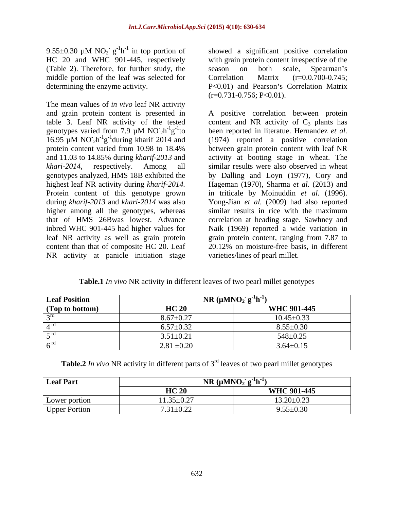9.55 $\pm$ 0.30 µM NO<sub>2</sub> g<sup>-1</sup>h<sup>-1</sup> in top portion of showed a significant positive correlation (Table 2). Therefore, for further study, the season on both scale, Spearman's middle portion of the leaf was selected for Correlation Matrix (r=0.0.700-0.745;

The mean values of *in vivo* leaf NR activity  $16.95 \mu M NO<sub>2</sub>h<sup>-1</sup>g<sup>-1</sup>$ during kharif 2014 and higher among all the genotypes, whereas NR activity at panicle initiation stage

HC 20 and WHC 901-445, respectively with grain protein content irrespective of the determining the enzyme activity.  $P<0.01$  and Pearson's Correlation Matrix season on both scale, Spearman's Correlation Matrix (r=0.0.700-0.745;  $(r=0.731-0.756; P<0.01)$ .

and grain protein content is presented in A positive correlation between protein table 3. Leaf NR activity of the tested content and NR activity of  $C_3$  plants has genotypes varied from 7.9  $\mu$ M NO<sup>-1</sup>g<sup>-1</sup>to been reported in literatue. Hernandez *et al.*  $\int_2 h^{-1} g^{-1}$  to been reported in literatue. Hernandez *et al.*  $\int_2 h^{-1} g^{-1}$ during kharif 2014 and (1974) reported a positive correlation protein content varied from 10.98 to 18.4% between grain protein content with leaf NR and 11.03 to 14.85% during *kharif-2013* and *khari-2014,* respectively. Among all similar results were also observed in wheat genotypes analyzed, HMS 18B exhibited the by Dalling and Loyn (1977), Cory and highest leaf NR activity during *kharif-2014.*  Hageman (1970), Sharma *et al.* (2013) and Protein content of this genotype grown in triticale by Moinuddin *et al.* (1996). during *kharif-2013* and *khari-2014* was also Yong-Jian *et al.* (2009) had also reported that of HMS 26Bwas lowest. Advance correlation at heading stage. Sawhney and inbred WHC 901-445 had higher values for Naik (1969) reported a wide variation in leaf NR activity as well as grain protein grain protein content, ranging from 7.87 to content than that of composite HC 20. Leaf 20.12% on moisture-free basis, in different activity at booting stage in wheat. The similar results in rice with the maximum varieties/lines of pearl millet.

| <b>Table.1</b> In vivo NR activity in different leaves of<br>s of two pearl millet genotypes |  |
|----------------------------------------------------------------------------------------------|--|
|----------------------------------------------------------------------------------------------|--|

| <b>Leaf Position</b> | NR $(\mu MNO2 g-1h-1)$ |                  |
|----------------------|------------------------|------------------|
| (Top to bottom)      | <b>HC 20</b>           | WHC 901-445      |
|                      | $8.67 \pm 0.27$        | $.0.45 \pm 0.33$ |
|                      | $6.57 \pm 0.32$        | $8.55 \pm 0.30$  |
|                      | $3.51 \pm 0.21$        | $548 \pm 0.25$   |
|                      | $2.81 \pm 0.20$        | $3.64 \pm 0.15$  |

**Table.2** *In vivo* NR activity in different parts of 3<sup>rd</sup> leaves of two pearl millet genotypes

| Leaf Part     | $NR (\mu MNO_2 \text{ g}^{-1}h^{-1})$ |                                                       |  |
|---------------|---------------------------------------|-------------------------------------------------------|--|
|               | TTA<br>$\bf{11}$                      | <b>WHC 901-445</b>                                    |  |
| Lower portion | $11.35 \pm 0.27$                      | $13.20 \pm 0.23$                                      |  |
| Upper Portion | $7.31 \pm 0.22$                       | $\sim$ $\sim$ $\sim$ $\sim$<br>.<br>,. <i>,,_</i> ,…v |  |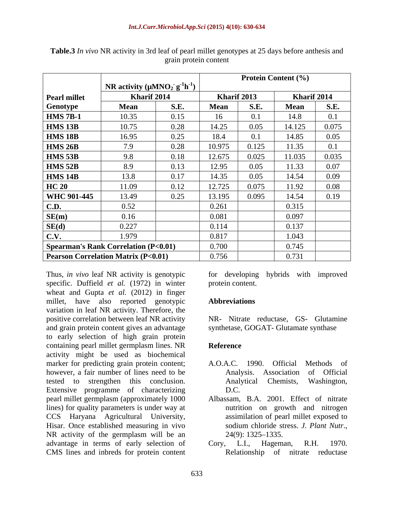|                     |                                                          |             | <b>Protein Content (%)</b> |             |             |             |
|---------------------|----------------------------------------------------------|-------------|----------------------------|-------------|-------------|-------------|
|                     | <b>NR</b> activity $(\mu M N O_2 \text{ g}^{-1} h^{-1})$ |             |                            |             |             |             |
| <b>Pearl millet</b> | Kharif 2014                                              |             | Kharif 2013                |             | Kharif 2014 |             |
| <b>Genotype</b>     | <b>Mean</b>                                              | <b>S.E.</b> | <b>Mean</b>                | <b>S.E.</b> | <b>Mean</b> | <b>S.E.</b> |
| <b>HMS</b> 7B-1     | 10.35                                                    | 0.15        | 16                         | 0.1         | 14.8        | 0.1         |
| <b>HMS 13B</b>      | 10.75                                                    | 0.28        | 14.25                      | 0.05        | 14.125      | 0.075       |
| <b>HMS 18B</b>      | 16.95                                                    | 0.25        | 18.4                       | 0.1         | 14.85       | 0.05        |
| <b>HMS 26B</b>      | 7.9                                                      | 0.28        | 10.975                     | 0.125       | 11.35       | 0.1         |
| <b>HMS 53B</b>      | 9.8                                                      | 0.18        | 12.675                     | 0.025       | 11.035      | 0.035       |
| <b>HMS 52B</b>      | 8.9                                                      | 0.13        | 12.95                      | 0.05        | 11.33       | 0.07        |
| HMS 14B             | 13.8                                                     | 0.17        | 14.35                      | 0.05        | 14.54       | 0.09        |
| HC <sub>20</sub>    | 11.09                                                    | 0.12        | 12.725                     | 0.075       | 11.92       | 0.08        |
| WHC 901-445         | 13.49                                                    | 0.25        | 13.195                     | 0.095       | 14.54       | 0.19        |
| <b>C.D.</b>         | 0.52                                                     |             | 0.261                      |             | 0.315       |             |
| SE(m)               | 0.16                                                     |             | 0.081                      |             | 0.097       |             |
| SE(d)               | 0.227                                                    |             | 0.114                      |             | 0.137       |             |
| C.V.                | 1.979                                                    |             | 0.817                      |             | 1.043       |             |
|                     | <b>Spearman's Rank Correlation (P&lt;0.01)</b>           |             | 0.700                      |             | 0.745       |             |
|                     | <b>Pearson Correlation Matrix (P&lt;0.01)</b>            |             | 0.756                      |             | 0.731       |             |

**Table.3** *In vivo* NR activity in 3rd leaf of pearl millet genotypes at 25 days before anthesis and grain protein content

Thus, *in vivo* leaf NR activity is genotypic for developing hybrids with improved specific. Duffield *et al.* (1972) in winter wheat and Gupta *et al.* (2012) in finger millet, have also reported genotypic **Abbreviations** variation in leaf NR activity. Therefore, the positive correlation between leaf NR activity NR- Nitrate reductase, GS- Glutamine and grain protein content gives an advantage synthetase, GOGAT- Glutamate synthase to early selection of high grain protein containing pearl millet germplasm lines. NR activity might be used as biochemical marker for predicting grain protein content; A.O.A.C. 1990. Official Methods of however, a fair number of lines need to be tested to strengthen this conclusion. Extensive programme of characterizing D.C. pearl millet germplasm (approximately 1000 lines) for quality parameters is under way at CCS Haryana Agricultural University, Hisar. Once established measuring in vivo NR activity of the germplasm will be an  $24(9)$ : 1325–1335. advantage in terms of early selection of Cory, L.I., Hageman, R.H. 1970. CMS lines and inbreds for protein content

protein content.

# **Abbreviations**

## **Reference**

- A.O.A.C. 1990. Official Methods of Analysis. Association of Official Analytical Chemists, Washington, D.C.
- Albassam, B.A. 2001. Effect of nitrate nutrition on growth and nitrogen assimilation of pearl millet exposed to sodium chloride stress. *J. Plant Nutr*.*,* 24(9): 1325 1335.
- Cory, L.I., Hageman, Relationship of nitrate reductase